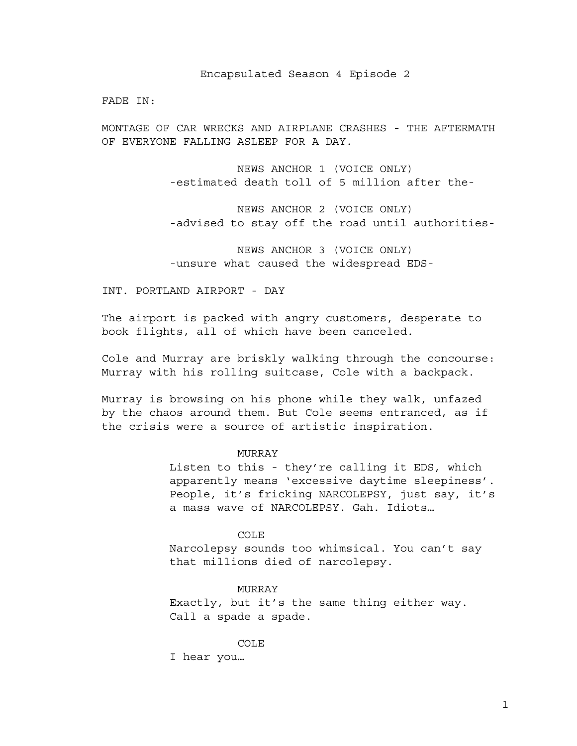Encapsulated Season 4 Episode 2

FADE IN:

MONTAGE OF CAR WRECKS AND AIRPLANE CRASHES - THE AFTERMATH OF EVERYONE FALLING ASLEEP FOR A DAY.

> NEWS ANCHOR 1 (VOICE ONLY) -estimated death toll of 5 million after the-

NEWS ANCHOR 2 (VOICE ONLY) -advised to stay off the road until authorities-

NEWS ANCHOR 3 (VOICE ONLY) -unsure what caused the widespread EDS-

INT. PORTLAND AIRPORT - DAY

The airport is packed with angry customers, desperate to book flights, all of which have been canceled.

Cole and Murray are briskly walking through the concourse: Murray with his rolling suitcase, Cole with a backpack.

Murray is browsing on his phone while they walk, unfazed by the chaos around them. But Cole seems entranced, as if the crisis were a source of artistic inspiration.

#### MURRAY

Listen to this - they're calling it EDS, which apparently means 'excessive daytime sleepiness'. People, it's fricking NARCOLEPSY, just say, it's a mass wave of NARCOLEPSY. Gah. Idiots…

COLE

Narcolepsy sounds too whimsical. You can't say that millions died of narcolepsy.

MURRAY

Exactly, but it's the same thing either way. Call a spade a spade.

COLE

I hear you…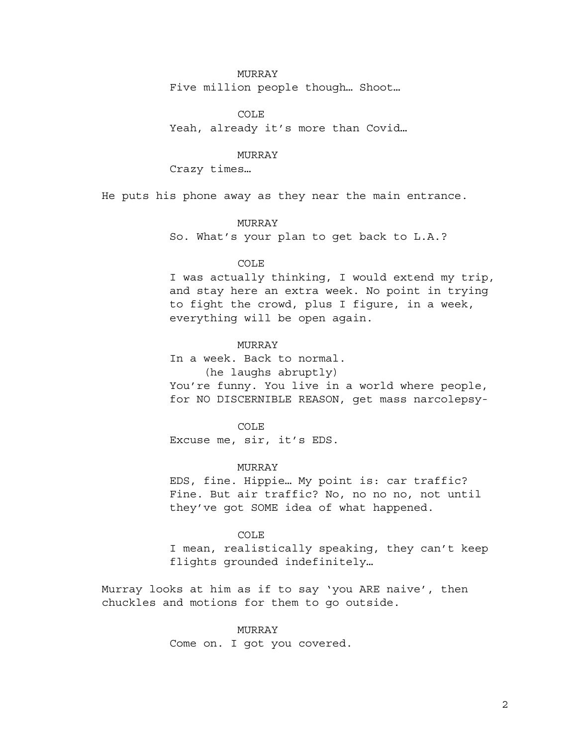### MURRAY

Five million people though… Shoot…

COLE Yeah, already it's more than Covid…

# MURRAY

Crazy times…

He puts his phone away as they near the main entrance.

# MURRAY

So. What's your plan to get back to L.A.?

### COLE

I was actually thinking, I would extend my trip, and stay here an extra week. No point in trying to fight the crowd, plus I figure, in a week, everything will be open again.

# MURRAY

In a week. Back to normal.

(he laughs abruptly)

You're funny. You live in a world where people, for NO DISCERNIBLE REASON, get mass narcolepsy-

## COLE

Excuse me, sir, it's EDS.

### MURRAY

EDS, fine. Hippie… My point is: car traffic? Fine. But air traffic? No, no no no, not until they've got SOME idea of what happened.

# COLE

I mean, realistically speaking, they can't keep flights grounded indefinitely…

Murray looks at him as if to say 'you ARE naive', then chuckles and motions for them to go outside.

### MURRAY

Come on. I got you covered.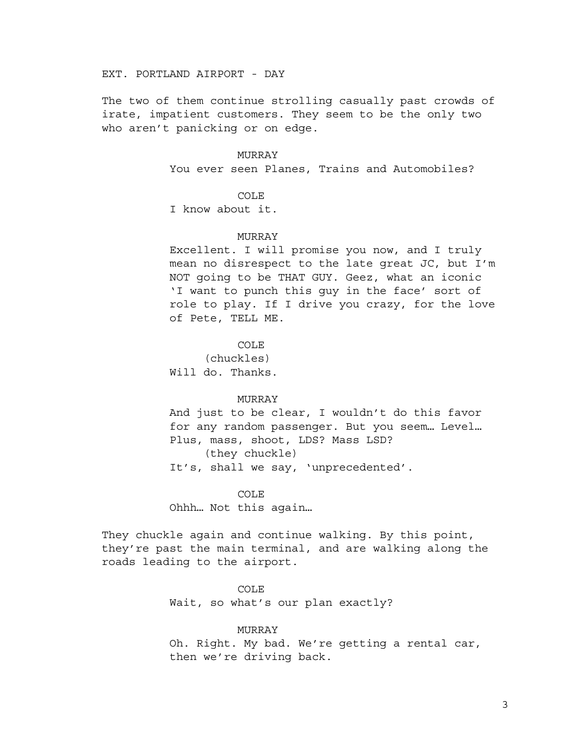EXT. PORTLAND AIRPORT - DAY

The two of them continue strolling casually past crowds of irate, impatient customers. They seem to be the only two who aren't panicking or on edge.

#### MURRAY

You ever seen Planes, Trains and Automobiles?

### COLE

I know about it.

#### MURRAY

Excellent. I will promise you now, and I truly mean no disrespect to the late great JC, but I'm NOT going to be THAT GUY. Geez, what an iconic 'I want to punch this guy in the face' sort of role to play. If I drive you crazy, for the love of Pete, TELL ME.

COLE

(chuckles) Will do. Thanks.

### MURRAY

And just to be clear, I wouldn't do this favor for any random passenger. But you seem… Level… Plus, mass, shoot, LDS? Mass LSD? (they chuckle) It's, shall we say, 'unprecedented'.

#### COLE

Ohhh… Not this again…

They chuckle again and continue walking. By this point, they're past the main terminal, and are walking along the roads leading to the airport.

#### COLE

Wait, so what's our plan exactly?

### MURRAY

Oh. Right. My bad. We're getting a rental car, then we're driving back.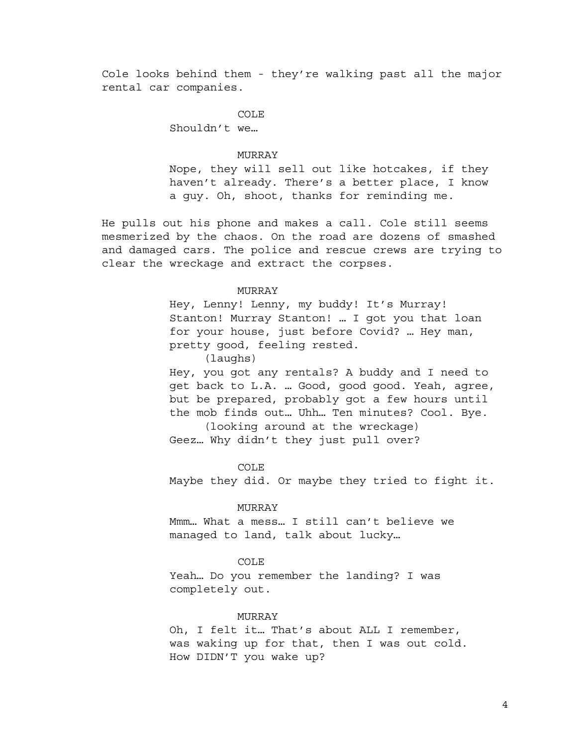Cole looks behind them - they're walking past all the major rental car companies.

> COLE Shouldn't we…

### MURRAY

Nope, they will sell out like hotcakes, if they haven't already. There's a better place, I know a guy. Oh, shoot, thanks for reminding me.

He pulls out his phone and makes a call. Cole still seems mesmerized by the chaos. On the road are dozens of smashed and damaged cars. The police and rescue crews are trying to clear the wreckage and extract the corpses.

### MURRAY

Hey, Lenny! Lenny, my buddy! It's Murray! Stanton! Murray Stanton! … I got you that loan for your house, just before Covid? … Hey man, pretty good, feeling rested.

(laughs)

Hey, you got any rentals? A buddy and I need to get back to L.A. … Good, good good. Yeah, agree, but be prepared, probably got a few hours until the mob finds out… Uhh… Ten minutes? Cool. Bye.

(looking around at the wreckage) Geez… Why didn't they just pull over?

COLE

Maybe they did. Or maybe they tried to fight it.

### MURRAY

Mmm… What a mess… I still can't believe we managed to land, talk about lucky…

### COLE

Yeah… Do you remember the landing? I was completely out.

### MURRAY

Oh, I felt it… That's about ALL I remember, was waking up for that, then I was out cold. How DIDN'T you wake up?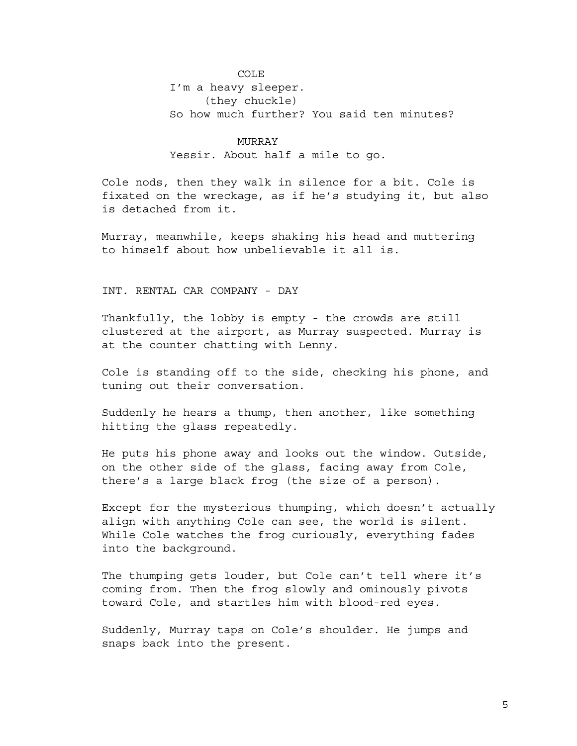COLE I'm a heavy sleeper. (they chuckle) So how much further? You said ten minutes?

MURRAY Yessir. About half a mile to go.

Cole nods, then they walk in silence for a bit. Cole is fixated on the wreckage, as if he's studying it, but also is detached from it.

Murray, meanwhile, keeps shaking his head and muttering to himself about how unbelievable it all is.

INT. RENTAL CAR COMPANY - DAY

Thankfully, the lobby is empty - the crowds are still clustered at the airport, as Murray suspected. Murray is at the counter chatting with Lenny.

Cole is standing off to the side, checking his phone, and tuning out their conversation.

Suddenly he hears a thump, then another, like something hitting the glass repeatedly.

He puts his phone away and looks out the window. Outside, on the other side of the glass, facing away from Cole, there's a large black frog (the size of a person).

Except for the mysterious thumping, which doesn't actually align with anything Cole can see, the world is silent. While Cole watches the frog curiously, everything fades into the background.

The thumping gets louder, but Cole can't tell where it's coming from. Then the frog slowly and ominously pivots toward Cole, and startles him with blood-red eyes.

Suddenly, Murray taps on Cole's shoulder. He jumps and snaps back into the present.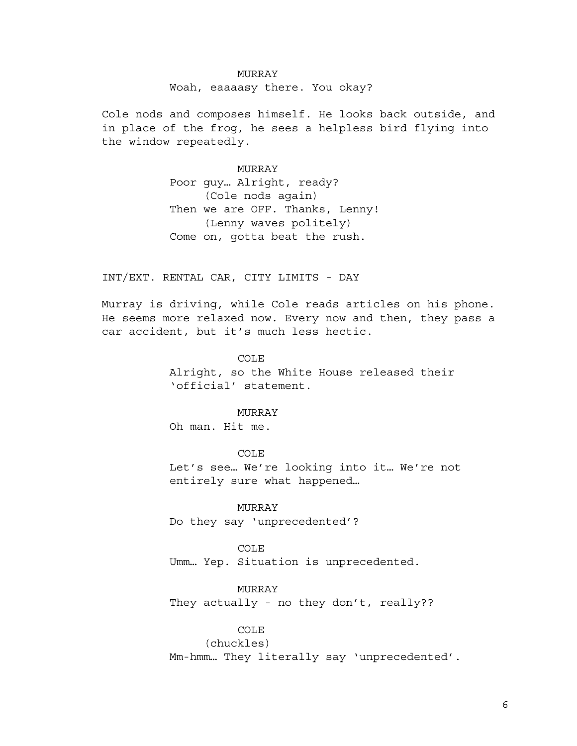# MURRAY Woah, eaaaasy there. You okay?

Cole nods and composes himself. He looks back outside, and in place of the frog, he sees a helpless bird flying into the window repeatedly.

> MURRAY Poor guy… Alright, ready? (Cole nods again) Then we are OFF. Thanks, Lenny! (Lenny waves politely) Come on, gotta beat the rush.

INT/EXT. RENTAL CAR, CITY LIMITS - DAY

Murray is driving, while Cole reads articles on his phone. He seems more relaxed now. Every now and then, they pass a car accident, but it's much less hectic.

### COLE

Alright, so the White House released their 'official' statement.

### MURRAY

Oh man. Hit me.

COLE Let's see… We're looking into it… We're not entirely sure what happened…

MURRAY Do they say 'unprecedented'?

COLE Umm… Yep. Situation is unprecedented.

MURRAY

They actually - no they don't, really??

### COLE

(chuckles) Mm-hmm… They literally say 'unprecedented'.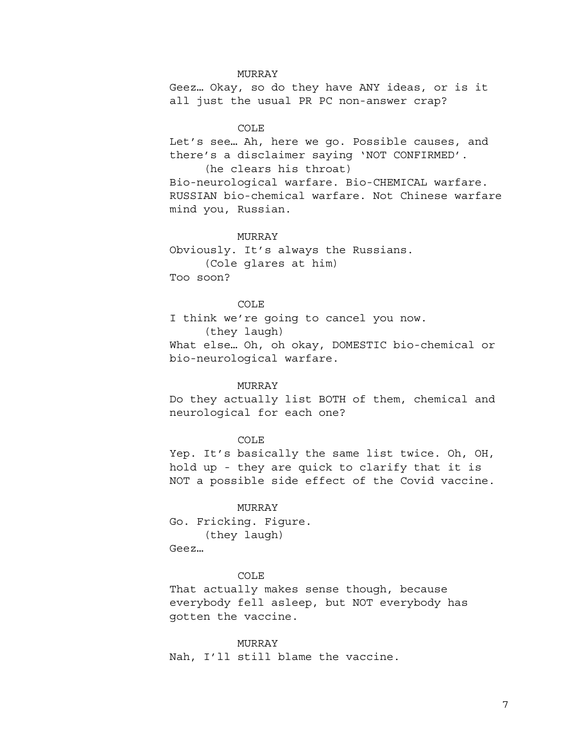#### MURRAY

Geez… Okay, so do they have ANY ideas, or is it all just the usual PR PC non-answer crap?

## COLE

Let's see… Ah, here we go. Possible causes, and there's a disclaimer saying 'NOT CONFIRMED'.

(he clears his throat) Bio-neurological warfare. Bio-CHEMICAL warfare. RUSSIAN bio-chemical warfare. Not Chinese warfare mind you, Russian.

#### MURRAY

Obviously. It's always the Russians. (Cole glares at him) Too soon?

#### COLE

I think we're going to cancel you now. (they laugh) What else… Oh, oh okay, DOMESTIC bio-chemical or bio-neurological warfare.

### MURRAY

Do they actually list BOTH of them, chemical and neurological for each one?

## COLE

Yep. It's basically the same list twice. Oh, OH, hold up - they are quick to clarify that it is NOT a possible side effect of the Covid vaccine.

MURRAY Go. Fricking. Figure. (they laugh) Geez…

## COLE

That actually makes sense though, because everybody fell asleep, but NOT everybody has gotten the vaccine.

MURRAY Nah, I'll still blame the vaccine.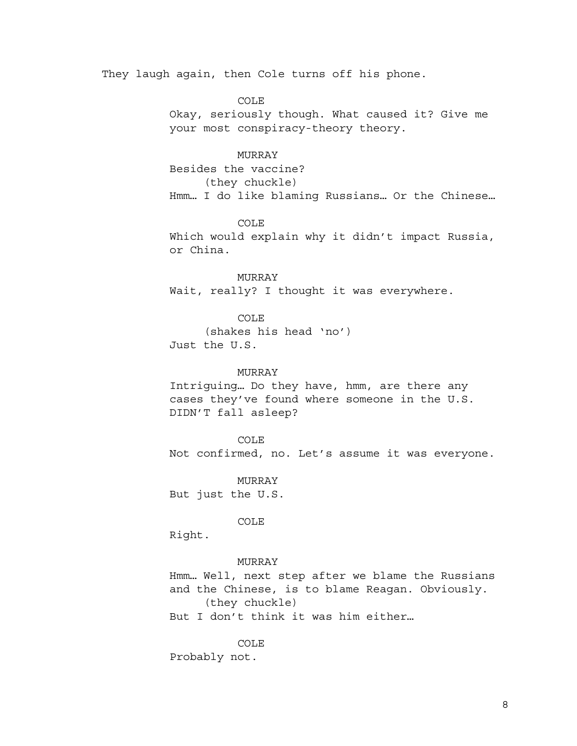They laugh again, then Cole turns off his phone.

COLE

Okay, seriously though. What caused it? Give me your most conspiracy-theory theory.

# MURRAY

Besides the vaccine? (they chuckle) Hmm… I do like blaming Russians… Or the Chinese…

COLE

Which would explain why it didn't impact Russia, or China.

MURRAY Wait, really? I thought it was everywhere.

COLE (shakes his head 'no') Just the U.S.

#### MURRAY

Intriguing… Do they have, hmm, are there any cases they've found where someone in the U.S. DIDN'T fall asleep?

COLE

Not confirmed, no. Let's assume it was everyone.

MURRAY But just the U.S.

COLE

Right.

#### MURRAY

Hmm… Well, next step after we blame the Russians and the Chinese, is to blame Reagan. Obviously. (they chuckle)

But I don't think it was him either…

COLE Probably not.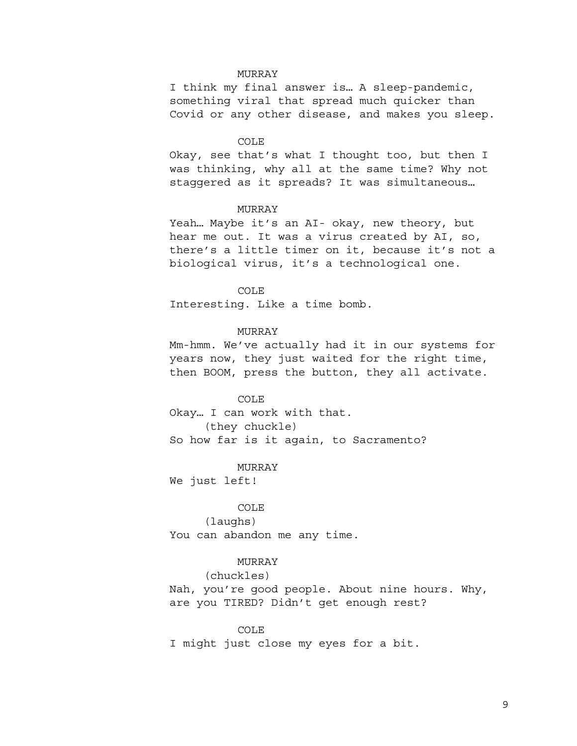## MURRAY

I think my final answer is… A sleep-pandemic, something viral that spread much quicker than Covid or any other disease, and makes you sleep.

#### COLE

Okay, see that's what I thought too, but then I was thinking, why all at the same time? Why not staggered as it spreads? It was simultaneous…

## MURRAY

Yeah… Maybe it's an AI- okay, new theory, but hear me out. It was a virus created by AI, so, there's a little timer on it, because it's not a biological virus, it's a technological one.

#### COLE

Interesting. Like a time bomb.

## MURRAY

Mm-hmm. We've actually had it in our systems for years now, they just waited for the right time, then BOOM, press the button, they all activate.

#### COLE

Okay… I can work with that. (they chuckle) So how far is it again, to Sacramento?

#### MURRAY

We just left!

#### COLE

(laughs) You can abandon me any time.

### MURRAY

# (chuckles)

Nah, you're good people. About nine hours. Why, are you TIRED? Didn't get enough rest?

#### COLE

I might just close my eyes for a bit.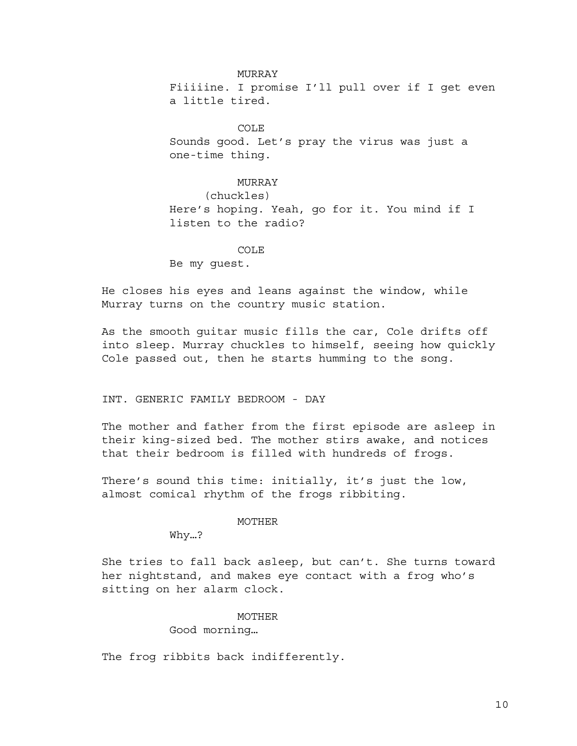MURRAY Fiiiiine. I promise I'll pull over if I get even a little tired.

COLE Sounds good. Let's pray the virus was just a one-time thing.

## MURRAY

(chuckles) Here's hoping. Yeah, go for it. You mind if I listen to the radio?

# COLE

Be my guest.

He closes his eyes and leans against the window, while Murray turns on the country music station.

As the smooth guitar music fills the car, Cole drifts off into sleep. Murray chuckles to himself, seeing how quickly Cole passed out, then he starts humming to the song.

### INT. GENERIC FAMILY BEDROOM - DAY

The mother and father from the first episode are asleep in their king-sized bed. The mother stirs awake, and notices that their bedroom is filled with hundreds of frogs.

There's sound this time: initially, it's just the low, almost comical rhythm of the frogs ribbiting.

#### MOTHER

Why…?

She tries to fall back asleep, but can't. She turns toward her nightstand, and makes eye contact with a frog who's sitting on her alarm clock.

### MOTHER

Good morning…

The frog ribbits back indifferently.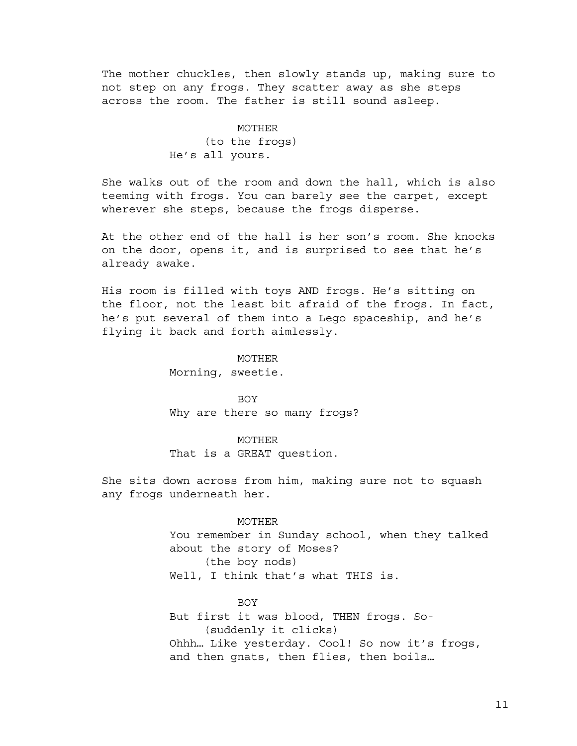The mother chuckles, then slowly stands up, making sure to not step on any frogs. They scatter away as she steps across the room. The father is still sound asleep.

# MOTHER (to the frogs) He's all yours.

She walks out of the room and down the hall, which is also teeming with frogs. You can barely see the carpet, except wherever she steps, because the frogs disperse.

At the other end of the hall is her son's room. She knocks on the door, opens it, and is surprised to see that he's already awake.

His room is filled with toys AND frogs. He's sitting on the floor, not the least bit afraid of the frogs. In fact, he's put several of them into a Lego spaceship, and he's flying it back and forth aimlessly.

#### MOTHER

Morning, sweetie.

**BOY** Why are there so many frogs?

MOTHER That is a GREAT question.

She sits down across from him, making sure not to squash any frogs underneath her.

# MOTHER

You remember in Sunday school, when they talked about the story of Moses? (the boy nods) Well, I think that's what THIS is.

#### **BOY**

But first it was blood, THEN frogs. So- (suddenly it clicks) Ohhh… Like yesterday. Cool! So now it's frogs, and then gnats, then flies, then boils…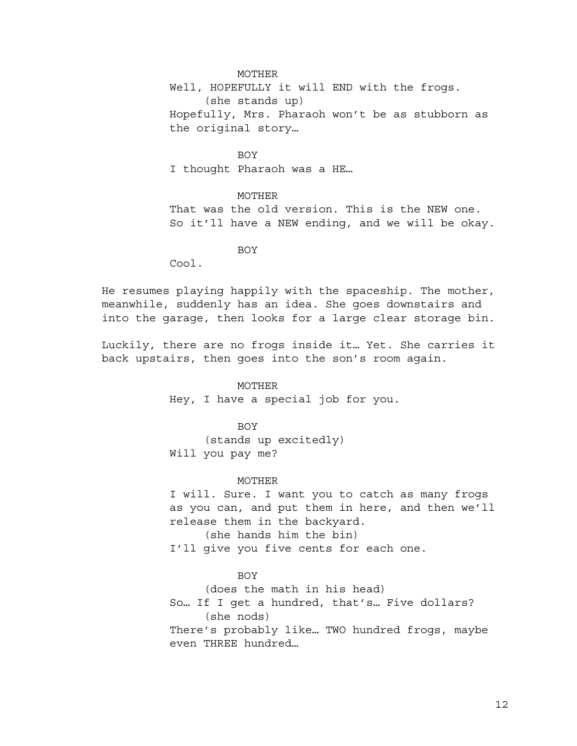MOTHER

Well, HOPEFULLY it will END with the frogs. (she stands up) Hopefully, Mrs. Pharaoh won't be as stubborn as the original story…

BOY I thought Pharaoh was a HE…

MOTHER That was the old version. This is the NEW one. So it'll have a NEW ending, and we will be okay.

BOY

Cool.

He resumes playing happily with the spaceship. The mother, meanwhile, suddenly has an idea. She goes downstairs and into the garage, then looks for a large clear storage bin.

Luckily, there are no frogs inside it… Yet. She carries it back upstairs, then goes into the son's room again.

> MOTHER Hey, I have a special job for you.

**BOY** (stands up excitedly) Will you pay me?

#### MOTHER

I will. Sure. I want you to catch as many frogs as you can, and put them in here, and then we'll release them in the backyard. (she hands him the bin) I'll give you five cents for each one.

BOY

(does the math in his head) So… If I get a hundred, that's… Five dollars? (she nods) There's probably like… TWO hundred frogs, maybe even THREE hundred…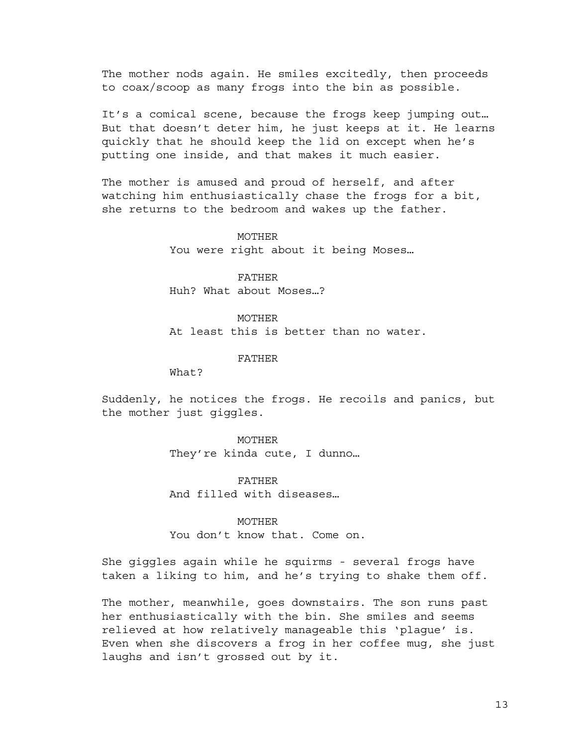The mother nods again. He smiles excitedly, then proceeds to coax/scoop as many frogs into the bin as possible.

It's a comical scene, because the frogs keep jumping out… But that doesn't deter him, he just keeps at it. He learns quickly that he should keep the lid on except when he's putting one inside, and that makes it much easier.

The mother is amused and proud of herself, and after watching him enthusiastically chase the frogs for a bit, she returns to the bedroom and wakes up the father.

### MOTHER

You were right about it being Moses…

FATHER Huh? What about Moses…?

MOTHER At least this is better than no water.

FATHER

What?

Suddenly, he notices the frogs. He recoils and panics, but the mother just giggles.

### MOTHER

They're kinda cute, I dunno…

FATHER And filled with diseases…

#### MOTHER

You don't know that. Come on.

She giggles again while he squirms - several frogs have taken a liking to him, and he's trying to shake them off.

The mother, meanwhile, goes downstairs. The son runs past her enthusiastically with the bin. She smiles and seems relieved at how relatively manageable this 'plague' is. Even when she discovers a frog in her coffee mug, she just laughs and isn't grossed out by it.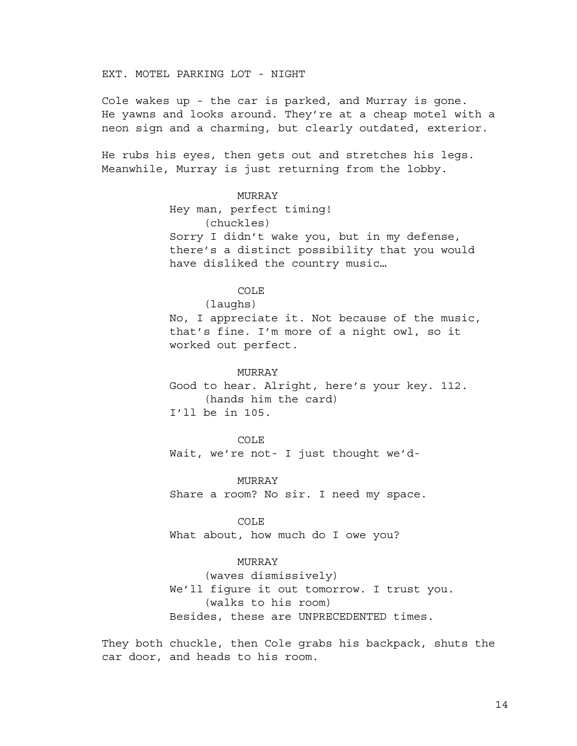EXT. MOTEL PARKING LOT - NIGHT

Cole wakes up - the car is parked, and Murray is gone. He yawns and looks around. They're at a cheap motel with a neon sign and a charming, but clearly outdated, exterior.

He rubs his eyes, then gets out and stretches his legs. Meanwhile, Murray is just returning from the lobby.

## MURRAY

Hey man, perfect timing! (chuckles) Sorry I didn't wake you, but in my defense, there's a distinct possibility that you would have disliked the country music…

### COLE

(laughs)

No, I appreciate it. Not because of the music, that's fine. I'm more of a night owl, so it worked out perfect.

#### MURRAY

Good to hear. Alright, here's your key. 112. (hands him the card) I'll be in 105.

#### COLE

Wait, we're not- I just thought we'd-

MURRAY

Share a room? No sir. I need my space.

#### COLE

What about, how much do I owe you?

# MURRAY

(waves dismissively) We'll figure it out tomorrow. I trust you. (walks to his room) Besides, these are UNPRECEDENTED times.

They both chuckle, then Cole grabs his backpack, shuts the car door, and heads to his room.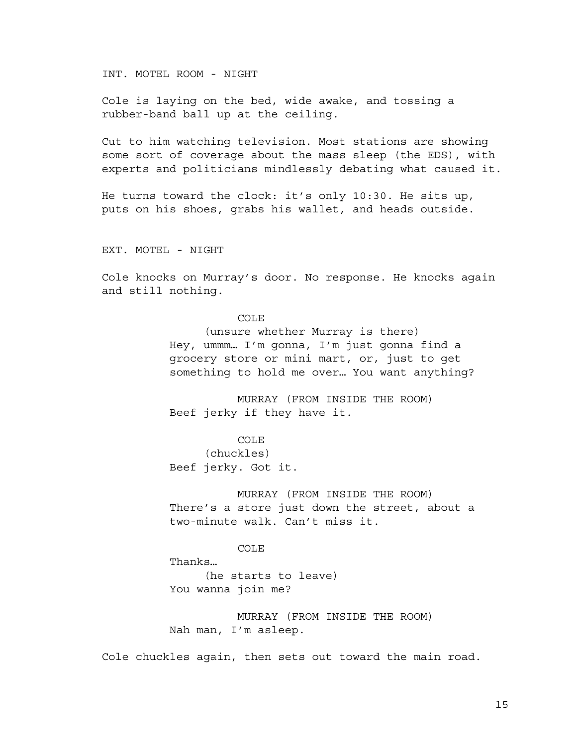INT. MOTEL ROOM - NIGHT

Cole is laying on the bed, wide awake, and tossing a rubber-band ball up at the ceiling.

Cut to him watching television. Most stations are showing some sort of coverage about the mass sleep (the EDS), with experts and politicians mindlessly debating what caused it.

He turns toward the clock: it's only 10:30. He sits up, puts on his shoes, grabs his wallet, and heads outside.

EXT. MOTEL - NIGHT

Cole knocks on Murray's door. No response. He knocks again and still nothing.

### COLE

(unsure whether Murray is there) Hey, ummm… I'm gonna, I'm just gonna find a grocery store or mini mart, or, just to get something to hold me over… You want anything?

MURRAY (FROM INSIDE THE ROOM) Beef jerky if they have it.

# COLE

(chuckles) Beef jerky. Got it.

MURRAY (FROM INSIDE THE ROOM) There's a store just down the street, about a two-minute walk. Can't miss it.

COLE

Thanks… (he starts to leave) You wanna join me?

MURRAY (FROM INSIDE THE ROOM) Nah man, I'm asleep.

Cole chuckles again, then sets out toward the main road.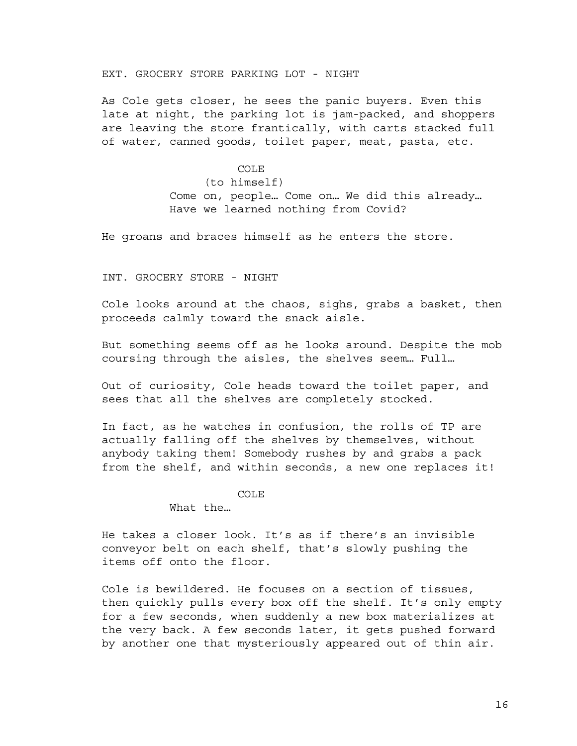## EXT. GROCERY STORE PARKING LOT - NIGHT

As Cole gets closer, he sees the panic buyers. Even this late at night, the parking lot is jam-packed, and shoppers are leaving the store frantically, with carts stacked full of water, canned goods, toilet paper, meat, pasta, etc.

> COLE (to himself) Come on, people… Come on… We did this already… Have we learned nothing from Covid?

He groans and braces himself as he enters the store.

INT. GROCERY STORE - NIGHT

Cole looks around at the chaos, sighs, grabs a basket, then proceeds calmly toward the snack aisle.

But something seems off as he looks around. Despite the mob coursing through the aisles, the shelves seem… Full…

Out of curiosity, Cole heads toward the toilet paper, and sees that all the shelves are completely stocked.

In fact, as he watches in confusion, the rolls of TP are actually falling off the shelves by themselves, without anybody taking them! Somebody rushes by and grabs a pack from the shelf, and within seconds, a new one replaces it!

COLE

What the…

He takes a closer look. It's as if there's an invisible conveyor belt on each shelf, that's slowly pushing the items off onto the floor.

Cole is bewildered. He focuses on a section of tissues, then quickly pulls every box off the shelf. It's only empty for a few seconds, when suddenly a new box materializes at the very back. A few seconds later, it gets pushed forward by another one that mysteriously appeared out of thin air.